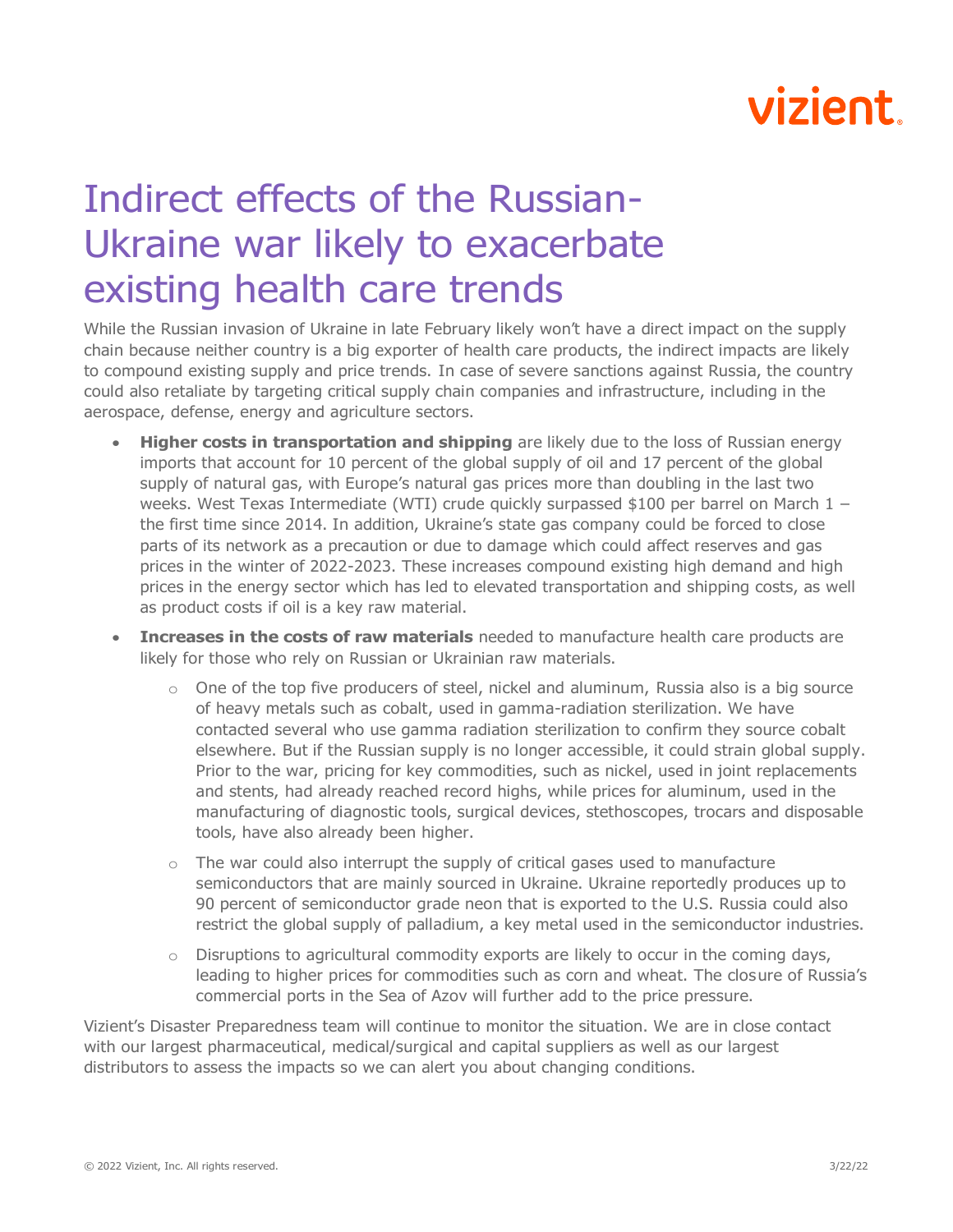## vizient

## Indirect effects of the Russian-Ukraine war likely to exacerbate existing health care trends

While the Russian invasion of Ukraine in late February likely won't have a direct impact on the supply chain because neither country is a big exporter of health care products, the indirect impacts are likely to compound existing supply and price trends. In case of severe sanctions against Russia, the country could also retaliate by targeting critical supply chain companies and infrastructure, including in the aerospace, defense, energy and agriculture sectors.

- **Higher costs in transportation and shipping** are likely due to the loss of Russian energy imports that account for 10 percent of the global supply of oil and 17 percent of the global supply of natural gas, with Europe's natural gas prices more than doubling in the last two weeks. West Texas Intermediate (WTI) crude quickly surpassed \$100 per barrel on March  $1$ the first time since 2014. In addition, Ukraine's state gas company could be forced to close parts of its network as a precaution or due to damage which could affect reserves and gas prices in the winter of 2022-2023. These increases compound existing high demand and high prices in the energy sector which has led to elevated transportation and shipping costs, as well as product costs if oil is a key raw material.
- **Increases in the costs of raw materials** needed to manufacture health care products are likely for those who rely on Russian or Ukrainian raw materials.
	- $\circ$  One of the top five producers of steel, nickel and aluminum, Russia also is a big source of heavy metals such as cobalt, used in gamma-radiation sterilization. We have contacted several who use gamma radiation sterilization to confirm they source cobalt elsewhere. But if the Russian supply is no longer accessible, it could strain global supply. Prior to the war, pricing for key commodities, such as nickel, used in joint replacements and stents, had already reached record highs, while prices for aluminum, used in the manufacturing of diagnostic tools, surgical devices, stethoscopes, trocars and disposable tools, have also already been higher.
	- $\circ$  The war could also interrupt the supply of critical gases used to manufacture semiconductors that are mainly sourced in Ukraine. Ukraine reportedly produces up to 90 percent of semiconductor grade neon that is exported to the U.S. Russia could also restrict the global supply of palladium, a key metal used in the semiconductor industries.
	- $\circ$  Disruptions to agricultural commodity exports are likely to occur in the coming days, leading to higher prices for commodities such as corn and wheat. The closure of Russia's commercial ports in the Sea of Azov will further add to the price pressure.

Vizient's Disaster Preparedness team will continue to monitor the situation. We are in close contact with our largest pharmaceutical, medical/surgical and capital suppliers as well as our largest distributors to assess the impacts so we can alert you about changing conditions.